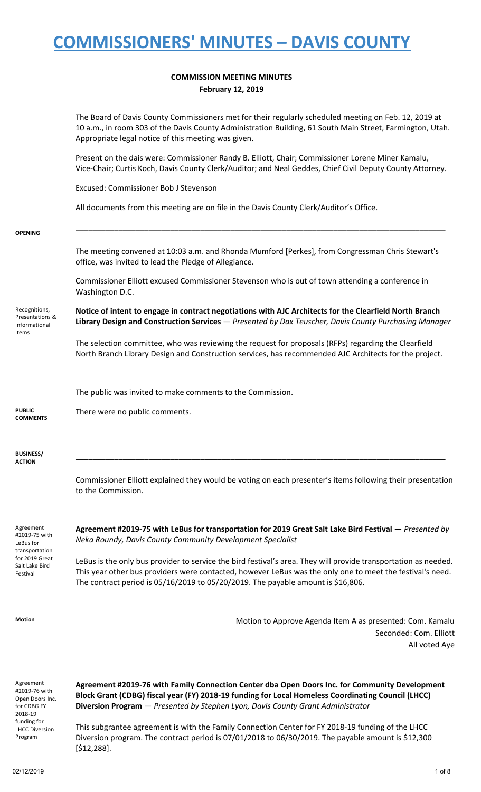### **COMMISSION MEETING MINUTES February 12, 2019**

|                                                                         | The Board of Davis County Commissioners met for their regularly scheduled meeting on Feb. 12, 2019 at<br>10 a.m., in room 303 of the Davis County Administration Building, 61 South Main Street, Farmington, Utah.<br>Appropriate legal notice of this meeting was given.                                        |
|-------------------------------------------------------------------------|------------------------------------------------------------------------------------------------------------------------------------------------------------------------------------------------------------------------------------------------------------------------------------------------------------------|
|                                                                         | Present on the dais were: Commissioner Randy B. Elliott, Chair; Commissioner Lorene Miner Kamalu,<br>Vice-Chair; Curtis Koch, Davis County Clerk/Auditor; and Neal Geddes, Chief Civil Deputy County Attorney.                                                                                                   |
|                                                                         | Excused: Commissioner Bob J Stevenson                                                                                                                                                                                                                                                                            |
|                                                                         | All documents from this meeting are on file in the Davis County Clerk/Auditor's Office.                                                                                                                                                                                                                          |
| <b>OPENING</b>                                                          |                                                                                                                                                                                                                                                                                                                  |
|                                                                         | The meeting convened at 10:03 a.m. and Rhonda Mumford [Perkes], from Congressman Chris Stewart's<br>office, was invited to lead the Pledge of Allegiance.                                                                                                                                                        |
|                                                                         | Commissioner Elliott excused Commissioner Stevenson who is out of town attending a conference in<br>Washington D.C.                                                                                                                                                                                              |
| Recognitions,<br>Presentations &<br>Informational<br>Items              | Notice of intent to engage in contract negotiations with AJC Architects for the Clearfield North Branch<br>Library Design and Construction Services - Presented by Dax Teuscher, Davis County Purchasing Manager                                                                                                 |
|                                                                         | The selection committee, who was reviewing the request for proposals (RFPs) regarding the Clearfield<br>North Branch Library Design and Construction services, has recommended AJC Architects for the project.                                                                                                   |
|                                                                         | The public was invited to make comments to the Commission.                                                                                                                                                                                                                                                       |
| <b>PUBLIC</b><br><b>COMMENTS</b>                                        | There were no public comments.                                                                                                                                                                                                                                                                                   |
| <b>BUSINESS/</b><br><b>ACTION</b>                                       |                                                                                                                                                                                                                                                                                                                  |
|                                                                         | Commissioner Elliott explained they would be voting on each presenter's items following their presentation<br>to the Commission.                                                                                                                                                                                 |
| Agreement<br>#2019-75 with<br>LeBus for                                 | Agreement #2019-75 with LeBus for transportation for 2019 Great Salt Lake Bird Festival - Presented by<br>Neka Roundy, Davis County Community Development Specialist                                                                                                                                             |
| transportation<br>for 2019 Great<br>Salt Lake Bird<br>Festival          | LeBus is the only bus provider to service the bird festival's area. They will provide transportation as needed.<br>This year other bus providers were contacted, however LeBus was the only one to meet the festival's need.<br>The contract period is 05/16/2019 to 05/20/2019. The payable amount is \$16,806. |
| Motion                                                                  | Motion to Approve Agenda Item A as presented: Com. Kamalu<br>Seconded: Com. Elliott<br>All voted Aye                                                                                                                                                                                                             |
| Agreement<br>#2019-76 with<br>Open Doors Inc.<br>for CDBG FY<br>2018-19 | Agreement #2019-76 with Family Connection Center dba Open Doors Inc. for Community Development<br>Block Grant (CDBG) fiscal year (FY) 2018-19 funding for Local Homeless Coordinating Council (LHCC)<br>Diversion Program - Presented by Stephen Lyon, Davis County Grant Administrator                          |
| funding for<br><b>LHCC Diversion</b>                                    | This subgrantee agreement is with the Family Connection Center for FY 2018-19 funding of the LHCC                                                                                                                                                                                                                |

Diversion program. The contract period is 07/01/2018 to 06/30/2019. The payable amount is \$12,300

Program

[\$12,288].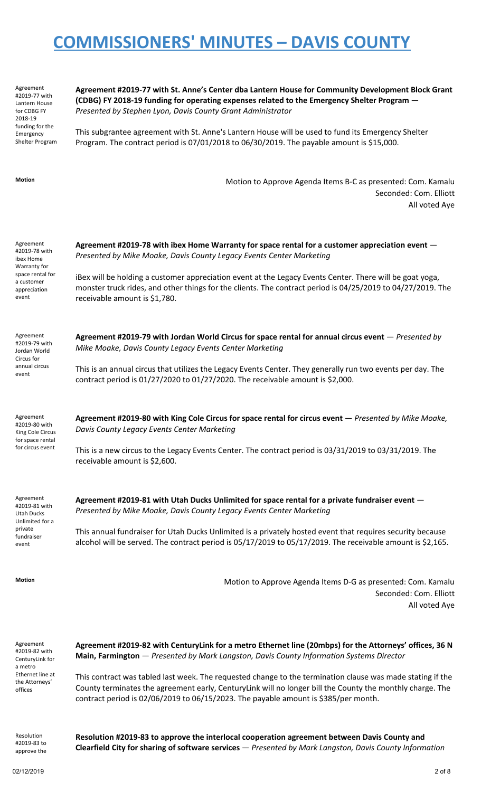Agreement #2019-77 with Lantern House for CDBG FY 2018-19 funding for the Emergency Shelter Program **Agreement #2019-77 with St. Anne's Center dba Lantern House for Community Development Block Grant (CDBG) FY 2018-19 funding for operating expenses related to the Emergency Shelter Program** — *Presented by Stephen Lyon, Davis County Grant Administrator*

This subgrantee agreement with St. Anne's Lantern House will be used to fund its Emergency Shelter Program. The contract period is 07/01/2018 to 06/30/2019. The payable amount is \$15,000.

**Motion** Motion to Approve Agenda Items B-C as presented: Com. Kamalu Seconded: Com. Elliott All voted Aye

Agreement #2019-78 with ibex Home Warranty for space rental for a customer appreciation event

Agreement #2019-79 with Jordan World Circus for annual circus event

**Agreement #2019-79 with Jordan World Circus for space rental for annual circus event** — *Presented by Mike Moake, Davis County Legacy Events Center Marketing*

**Agreement #2019-78 with ibex Home Warranty for space rental for a customer appreciation event** —

iBex will be holding a customer appreciation event at the Legacy Events Center. There will be goat yoga, monster truck rides, and other things for the clients. The contract period is 04/25/2019 to 04/27/2019. The

*Presented by Mike Moake, Davis County Legacy Events Center Marketing*

receivable amount is \$1,780.

This is an annual circus that utilizes the Legacy Events Center. They generally run two events per day. The contract period is 01/27/2020 to 01/27/2020. The receivable amount is \$2,000.

Agreement #2019-80 with King Cole Circus for space rental for circus event

**Agreement #2019-80 with King Cole Circus for space rental for circus event** — *Presented by Mike Moake, Davis County Legacy Events Center Marketing*

This is a new circus to the Legacy Events Center. The contract period is 03/31/2019 to 03/31/2019. The receivable amount is \$2,600.

Agreement #2019-81 with Utah Ducks Unlimited for a private fundraiser event

**Agreement #2019-81 with Utah Ducks Unlimited for space rental for a private fundraiser event** — *Presented by Mike Moake, Davis County Legacy Events Center Marketing*

This annual fundraiser for Utah Ducks Unlimited is a privately hosted event that requires security because alcohol will be served. The contract period is 05/17/2019 to 05/17/2019. The receivable amount is \$2,165.

**Motion** Motion to Approve Agenda Items D-G as presented: Com. Kamalu Seconded: Com. Elliott All voted Aye

Agreement #2019-82 with CenturyLink for a metro Ethernet line at the Attorneys' offices

**Agreement #2019-82 with CenturyLink for a metro Ethernet line (20mbps) for the Attorneys' offices, 36 N Main, Farmington** — *Presented by Mark Langston, Davis County Information Systems Director*

This contract was tabled last week. The requested change to the termination clause was made stating if the County terminates the agreement early, CenturyLink will no longer bill the County the monthly charge. The contract period is 02/06/2019 to 06/15/2023. The payable amount is \$385/per month.

Resolution #2019-83 to approve the

**Resolution #2019-83 to approve the interlocal cooperation agreement between Davis County and Clearfield City for sharing of software services** — *Presented by Mark Langston, Davis County Information*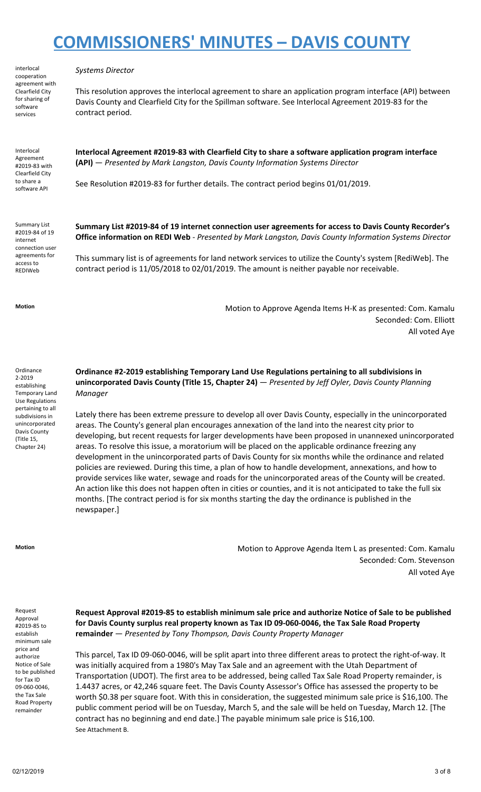interlocal cooperation agreement with Clearfield City for sharing of software services

#### *Systems Director*

This resolution approves the interlocal agreement to share an application program interface (API) between Davis County and Clearfield City for the Spillman software. See Interlocal Agreement 2019-83 for the contract period.

Interlocal Agreement #2019-83 with Clearfield City to share a software API

**Interlocal Agreement #2019-83 with Clearfield City to share a software application program interface (API)** — *Presented by Mark Langston, Davis County Information Systems Director*

See Resolution #2019-83 for further details. The contract period begins 01/01/2019.

Summary List #2019-84 of 19 internet connection user agreements for access to REDIWeb

**Summary List #2019-84 of 19 internet connection user agreements for access to Davis County Recorder's Office information on REDI Web** - *Presented by Mark Langston, Davis County Information Systems Director*

This summary list is of agreements for land network services to utilize the County's system [RediWeb]. The contract period is 11/05/2018 to 02/01/2019. The amount is neither payable nor receivable.

**Motion** Motion to Approve Agenda Items H-K as presented: Com. Kamalu Seconded: Com. Elliott All voted Aye

**Ordinance** 2-2019 establishing Temporary Land Use Regulations pertaining to all subdivisions in unincorporated Davis County (Title 15, Chapter 24)

**Ordinance #2-2019 establishing Temporary Land Use Regulations pertaining to all subdivisions in unincorporated Davis County (Title 15, Chapter 24)** — *Presented by Jeff Oyler, Davis County Planning Manager*

Lately there has been extreme pressure to develop all over Davis County, especially in the unincorporated areas. The County's general plan encourages annexation of the land into the nearest city prior to developing, but recent requests for larger developments have been proposed in unannexed unincorporated areas. To resolve this issue, a moratorium will be placed on the applicable ordinance freezing any development in the unincorporated parts of Davis County for six months while the ordinance and related policies are reviewed. During this time, a plan of how to handle development, annexations, and how to provide services like water, sewage and roads for the unincorporated areas of the County will be created. An action like this does not happen often in cities or counties, and it is not anticipated to take the full six months. [The contract period is for six months starting the day the ordinance is published in the newspaper.]

**Motion** Motion to Approve Agenda Item L as presented: Com. Kamalu Seconded: Com. Stevenson All voted Aye

Request Approval #2019-85 to establish minimum sale price and authorize Notice of Sale to be published for Tax ID 09-060-0046, the Tax Sale Road Property remainder

**Request Approval #2019-85 to establish minimum sale price and authorize Notice of Sale to be published for Davis County surplus real property known as Tax ID 09-060-0046, the Tax Sale Road Property remainder** — *Presented by Tony Thompson, Davis County Property Manager*

This parcel, Tax ID 09-060-0046, will be split apart into three different areas to protect the right-of-way. It was initially acquired from a 1980's May Tax Sale and an agreement with the Utah Department of Transportation (UDOT). The first area to be addressed, being called Tax Sale Road Property remainder, is 1.4437 acres, or 42,246 square feet. The Davis County Assessor's Office has assessed the property to be worth \$0.38 per square foot. With this in consideration, the suggested minimum sale price is \$16,100. The public comment period will be on Tuesday, March 5, and the sale will be held on Tuesday, March 12. [The contract has no beginning and end date.] The payable minimum sale price is \$16,100. See Attachment B.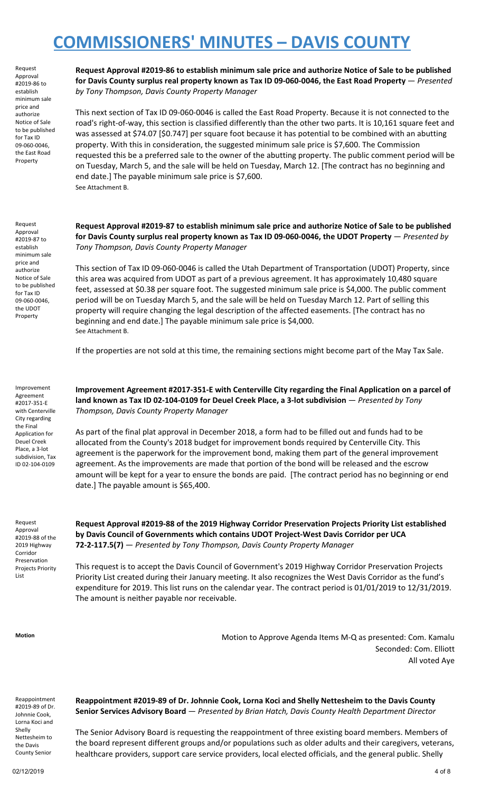Request Approval #2019-86 to establish minimum sale price and authorize Notice of Sale to be published for Tax ID 09-060-0046, the East Road Property

Request Approval #2019-87 to establish minimum sale price and authorize Notice of Sale to be published for Tax ID 09-060-0046, the UDOT Property

**Request Approval #2019-86 to establish minimum sale price and authorize Notice of Sale to be published for Davis County surplus real property known as Tax ID 09-060-0046, the East Road Property** — *Presented by Tony Thompson, Davis County Property Manager*

This next section of Tax ID 09-060-0046 is called the East Road Property. Because it is not connected to the road's right-of-way, this section is classified differently than the other two parts. It is 10,161 square feet and was assessed at \$74.07 [\$0.747] per square foot because it has potential to be combined with an abutting property. With this in consideration, the suggested minimum sale price is \$7,600. The Commission requested this be a preferred sale to the owner of the abutting property. The public comment period will be on Tuesday, March 5, and the sale will be held on Tuesday, March 12. [The contract has no beginning and end date.] The payable minimum sale price is \$7,600. See Attachment B.

**Request Approval #2019-87 to establish minimum sale price and authorize Notice of Sale to be published for Davis County surplus real property known as Tax ID 09-060-0046, the UDOT Property** — *Presented by Tony Thompson, Davis County Property Manager*

This section of Tax ID 09-060-0046 is called the Utah Department of Transportation (UDOT) Property, since this area was acquired from UDOT as part of a previous agreement. It has approximately 10,480 square feet, assessed at \$0.38 per square foot. The suggested minimum sale price is \$4,000. The public comment period will be on Tuesday March 5, and the sale will be held on Tuesday March 12. Part of selling this property will require changing the legal description of the affected easements. [The contract has no beginning and end date.] The payable minimum sale price is \$4,000. See Attachment B.

If the properties are not sold at this time, the remaining sections might become part of the May Tax Sale.

Improvement Agreement #2017-351-E with Centerville City regarding the Final Application for Deuel Creek Place, a 3-lot subdivision, Tax ID 02-104-0109

**Improvement Agreement #2017-351-E with Centerville City regarding the Final Application on a parcel of land known as Tax ID 02-104-0109 for Deuel Creek Place, a 3-lot subdivision** — *Presented by Tony Thompson, Davis County Property Manager*

As part of the final plat approval in December 2018, a form had to be filled out and funds had to be allocated from the County's 2018 budget for improvement bonds required by Centerville City. This agreement is the paperwork for the improvement bond, making them part of the general improvement agreement. As the improvements are made that portion of the bond will be released and the escrow amount will be kept for a year to ensure the bonds are paid. [The contract period has no beginning or end date.] The payable amount is \$65,400.

Request Approval #2019-88 of the 2019 Highway Corridor Preservation Projects Priority List

**Request Approval #2019-88 of the 2019 Highway Corridor Preservation Projects Priority List established by Davis Council of Governments which contains UDOT Project-West Davis Corridor per UCA 72-2-117.5(7)** — *Presented by Tony Thompson, Davis County Property Manager*

This request is to accept the Davis Council of Government's 2019 Highway Corridor Preservation Projects Priority List created during their January meeting. It also recognizes the West Davis Corridor as the fund's expenditure for 2019. This list runs on the calendar year. The contract period is 01/01/2019 to 12/31/2019. The amount is neither payable nor receivable.

**Motion** Motion to Approve Agenda Items M-Q as presented: Com. Kamalu Seconded: Com. Elliott All voted Aye

Reappointment #2019-89 of Dr. Johnnie Cook, Lorna Koci and Shelly Nettesheim to the Davis County Senior

**Reappointment #2019-89 of Dr. Johnnie Cook, Lorna Koci and Shelly Nettesheim to the Davis County Senior Services Advisory Board** — *Presented by Brian Hatch, Davis County Health Department Director*

The Senior Advisory Board is requesting the reappointment of three existing board members. Members of the board represent different groups and/or populations such as older adults and their caregivers, veterans, healthcare providers, support care service providers, local elected officials, and the general public. Shelly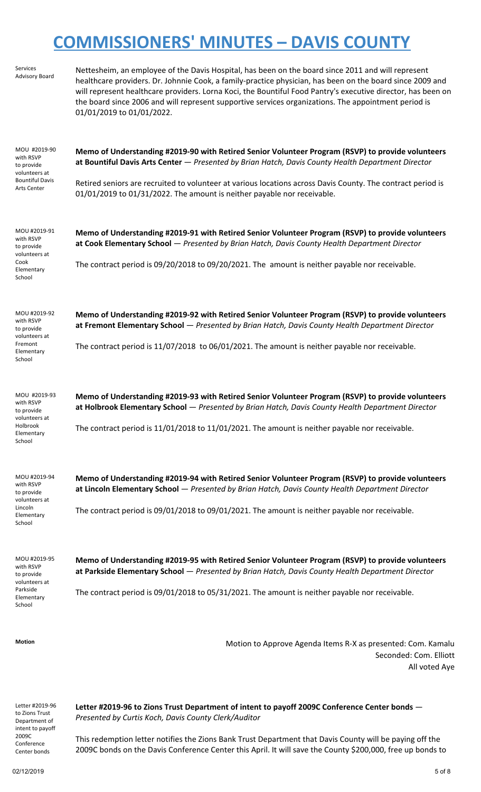| Services<br><b>Advisory Board</b>                                                                 | Nettesheim, an employee of the Davis Hospital, has been on the board since 2011 and will represent<br>healthcare providers. Dr. Johnnie Cook, a family-practice physician, has been on the board since 2009 and<br>will represent healthcare providers. Lorna Koci, the Bountiful Food Pantry's executive director, has been on<br>the board since 2006 and will represent supportive services organizations. The appointment period is<br>01/01/2019 to 01/01/2022. |
|---------------------------------------------------------------------------------------------------|----------------------------------------------------------------------------------------------------------------------------------------------------------------------------------------------------------------------------------------------------------------------------------------------------------------------------------------------------------------------------------------------------------------------------------------------------------------------|
| MOU #2019-90<br>with RSVP<br>to provide<br>volunteers at<br><b>Bountiful Davis</b><br>Arts Center | Memo of Understanding #2019-90 with Retired Senior Volunteer Program (RSVP) to provide volunteers<br>at Bountiful Davis Arts Center - Presented by Brian Hatch, Davis County Health Department Director<br>Retired seniors are recruited to volunteer at various locations across Davis County. The contract period is<br>01/01/2019 to 01/31/2022. The amount is neither payable nor receivable.                                                                    |
| MOU #2019-91<br>with RSVP<br>to provide<br>volunteers at<br>Cook<br>Elementary<br>School          | Memo of Understanding #2019-91 with Retired Senior Volunteer Program (RSVP) to provide volunteers<br>at Cook Elementary School - Presented by Brian Hatch, Davis County Health Department Director<br>The contract period is 09/20/2018 to 09/20/2021. The amount is neither payable nor receivable.                                                                                                                                                                 |
| MOU #2019-92<br>with RSVP<br>to provide<br>volunteers at<br>Fremont<br>Elementary<br>School       | Memo of Understanding #2019-92 with Retired Senior Volunteer Program (RSVP) to provide volunteers<br>at Fremont Elementary School - Presented by Brian Hatch, Davis County Health Department Director<br>The contract period is 11/07/2018 to 06/01/2021. The amount is neither payable nor receivable.                                                                                                                                                              |
| MOU #2019-93<br>with RSVP<br>to provide<br>volunteers at<br>Holbrook<br>Elementary<br>School      | Memo of Understanding #2019-93 with Retired Senior Volunteer Program (RSVP) to provide volunteers<br>at Holbrook Elementary School - Presented by Brian Hatch, Davis County Health Department Director<br>The contract period is 11/01/2018 to 11/01/2021. The amount is neither payable nor receivable.                                                                                                                                                             |
| MOU #2019-94<br>with RSVP<br>to provide<br>volunteers at<br>Lincoln<br>Elementary<br>School       | Memo of Understanding #2019-94 with Retired Senior Volunteer Program (RSVP) to provide volunteers<br>at Lincoln Elementary School - Presented by Brian Hatch, Davis County Health Department Director<br>The contract period is 09/01/2018 to 09/01/2021. The amount is neither payable nor receivable.                                                                                                                                                              |
| MOU #2019-95<br>with RSVP<br>to provide<br>volunteers at<br>Parkside<br>Elementary<br>School      | Memo of Understanding #2019-95 with Retired Senior Volunteer Program (RSVP) to provide volunteers<br>at Parkside Elementary School - Presented by Brian Hatch, Davis County Health Department Director<br>The contract period is 09/01/2018 to 05/31/2021. The amount is neither payable nor receivable.                                                                                                                                                             |
| <b>Motion</b>                                                                                     | Motion to Approve Agenda Items R-X as presented: Com. Kamalu<br>Seconded: Com. Elliott<br>All voted Aye                                                                                                                                                                                                                                                                                                                                                              |
| Letter #2019-96<br>to Zions Trust<br>Department of                                                | Letter #2019-96 to Zions Trust Department of intent to payoff 2009C Conference Center bonds -<br>Presented by Curtis Koch, Davis County Clerk/Auditor                                                                                                                                                                                                                                                                                                                |
| intent to payoff<br>2009C<br>Conference<br>Center bonds                                           | This redemption letter notifies the Zions Bank Trust Department that Davis County will be paying off the<br>2009C bonds on the Davis Conference Center this April. It will save the County \$200,000, free up bonds to                                                                                                                                                                                                                                               |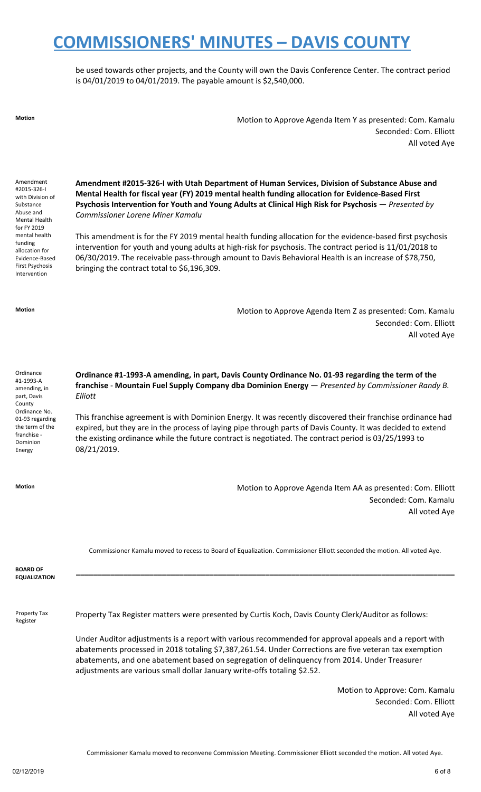be used towards other projects, and the County will own the Davis Conference Center. The contract period is 04/01/2019 to 04/01/2019. The payable amount is \$2,540,000.

**Motion** Motion to Approve Agenda Item Y as presented: Com. Kamalu Seconded: Com. Elliott All voted Aye

Amendment #2015-326-I with Division of Substance Abuse and Mental Health for FY 2019 mental health funding allocation for Evidence-Based First Psychosis Intervention

**Amendment #2015-326-I with Utah Department of Human Services, Division of Substance Abuse and Mental Health for fiscal year (FY) 2019 mental health funding allocation for Evidence-Based First Psychosis Intervention for Youth and Young Adults at Clinical High Risk for Psychosis** — *Presented by Commissioner Lorene Miner Kamalu*

This amendment is for the FY 2019 mental health funding allocation for the evidence-based first psychosis intervention for youth and young adults at high-risk for psychosis. The contract period is 11/01/2018 to 06/30/2019. The receivable pass-through amount to Davis Behavioral Health is an increase of \$78,750, bringing the contract total to \$6,196,309.

**Motion** Motion to Approve Agenda Item Z as presented: Com. Kamalu Seconded: Com. Elliott All voted Aye

Ordinance #1-1993-A amending, in part, Davis County Ordinance No. 01-93 regarding the term of the franchise - Dominion Energy

**Ordinance #1-1993-A amending, in part, Davis County Ordinance No. 01-93 regarding the term of the franchise** - **Mountain Fuel Supply Company dba Dominion Energy** — *Presented by Commissioner Randy B. Elliott*

This franchise agreement is with Dominion Energy. It was recently discovered their franchise ordinance had expired, but they are in the process of laying pipe through parts of Davis County. It was decided to extend the existing ordinance while the future contract is negotiated. The contract period is 03/25/1993 to 08/21/2019.

**Motion** Motion to Approve Agenda Item AA as presented: Com. Elliott Seconded: Com. Kamalu All voted Aye

Commissioner Kamalu moved to recess to Board of Equalization. Commissioner Elliott seconded the motion. All voted Aye.

| <b>BOARD OF</b><br><b>EQUALIZATION</b> |                                                                                                                                                                                                                                                                                                                                                                                             |
|----------------------------------------|---------------------------------------------------------------------------------------------------------------------------------------------------------------------------------------------------------------------------------------------------------------------------------------------------------------------------------------------------------------------------------------------|
| Property Tax<br>Register               | Property Tax Register matters were presented by Curtis Koch, Davis County Clerk/Auditor as follows:                                                                                                                                                                                                                                                                                         |
|                                        | Under Auditor adjustments is a report with various recommended for approval appeals and a report with<br>abatements processed in 2018 totaling \$7,387,261.54. Under Corrections are five veteran tax exemption<br>abatements, and one abatement based on segregation of delinguency from 2014. Under Treasurer<br>adjustments are various small dollar January write-offs totaling \$2.52. |

Motion to Approve: Com. Kamalu Seconded: Com. Elliott All voted Aye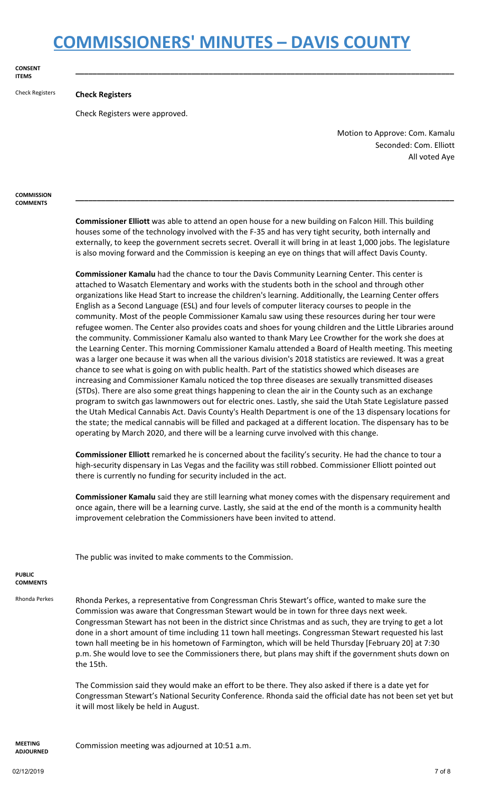**CONSENT ITEMS**

### Check Registers **Check Registers**

Check Registers were approved.

Motion to Approve: Com. Kamalu Seconded: Com. Elliott All voted Aye

**COMMISSION COMMENTS**

> **Commissioner Elliott** was able to attend an open house for a new building on Falcon Hill. This building houses some of the technology involved with the F-35 and has very tight security, both internally and externally, to keep the government secrets secret. Overall it will bring in at least 1,000 jobs. The legislature is also moving forward and the Commission is keeping an eye on things that will affect Davis County.

**\_\_\_\_\_\_\_\_\_\_\_\_\_\_\_\_\_\_\_\_\_\_\_\_\_\_\_\_\_\_\_\_\_\_\_\_\_\_\_\_\_\_\_\_\_\_\_\_\_\_\_\_\_\_\_\_\_\_\_\_\_\_\_\_\_\_\_\_\_\_\_\_\_\_\_\_\_\_\_\_\_\_\_\_\_\_\_\_**

**\_\_\_\_\_\_\_\_\_\_\_\_\_\_\_\_\_\_\_\_\_\_\_\_\_\_\_\_\_\_\_\_\_\_\_\_\_\_\_\_\_\_\_\_\_\_\_\_\_\_\_\_\_\_\_\_\_\_\_\_\_\_\_\_\_\_\_\_\_\_\_\_\_\_\_\_\_\_\_\_\_\_\_\_\_\_\_\_**

**Commissioner Kamalu** had the chance to tour the Davis Community Learning Center. This center is attached to Wasatch Elementary and works with the students both in the school and through other organizations like Head Start to increase the children's learning. Additionally, the Learning Center offers English as a Second Language (ESL) and four levels of computer literacy courses to people in the community. Most of the people Commissioner Kamalu saw using these resources during her tour were refugee women. The Center also provides coats and shoes for young children and the Little Libraries around the community. Commissioner Kamalu also wanted to thank Mary Lee Crowther for the work she does at the Learning Center. This morning Commissioner Kamalu attended a Board of Health meeting. This meeting was a larger one because it was when all the various division's 2018 statistics are reviewed. It was a great chance to see what is going on with public health. Part of the statistics showed which diseases are increasing and Commissioner Kamalu noticed the top three diseases are sexually transmitted diseases (STDs). There are also some great things happening to clean the air in the County such as an exchange program to switch gas lawnmowers out for electric ones. Lastly, she said the Utah State Legislature passed the Utah Medical Cannabis Act. Davis County's Health Department is one of the 13 dispensary locations for the state; the medical cannabis will be filled and packaged at a different location. The dispensary has to be operating by March 2020, and there will be a learning curve involved with this change.

**Commissioner Elliott** remarked he is concerned about the facility's security. He had the chance to tour a high-security dispensary in Las Vegas and the facility was still robbed. Commissioner Elliott pointed out there is currently no funding for security included in the act.

**Commissioner Kamalu** said they are still learning what money comes with the dispensary requirement and once again, there will be a learning curve. Lastly, she said at the end of the month is a community health improvement celebration the Commissioners have been invited to attend.

The public was invited to make comments to the Commission.

**PUBLIC COMMENTS**

Rhonda Perkes Rhonda Perkes, a representative from Congressman Chris Stewart's office, wanted to make sure the Commission was aware that Congressman Stewart would be in town for three days next week. Congressman Stewart has not been in the district since Christmas and as such, they are trying to get a lot done in a short amount of time including 11 town hall meetings. Congressman Stewart requested his last town hall meeting be in his hometown of Farmington, which will be held Thursday [February 20] at 7:30 p.m. She would love to see the Commissioners there, but plans may shift if the government shuts down on the 15th.

> The Commission said they would make an effort to be there. They also asked if there is a date yet for Congressman Stewart's National Security Conference. Rhonda said the official date has not been set yet but it will most likely be held in August.

**MEETING ADJOURNED**